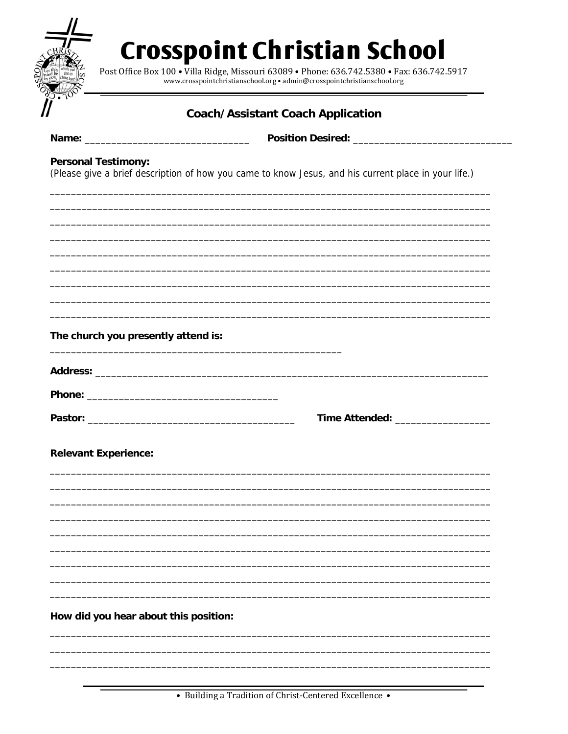|                                     | <b>Coach/Assistant Coach Application</b>                                                             |
|-------------------------------------|------------------------------------------------------------------------------------------------------|
|                                     |                                                                                                      |
| <b>Personal Testimony:</b>          | (Please give a brief description of how you came to know Jesus, and his current place in your life.) |
|                                     |                                                                                                      |
|                                     |                                                                                                      |
| The church you presently attend is: | <u> 1989 - Johann John Stone, markin fizik eta idazlear (h. 1989).</u>                               |
|                                     |                                                                                                      |
|                                     |                                                                                                      |
|                                     |                                                                                                      |
| <b>Relevant Experience:</b>         |                                                                                                      |
|                                     |                                                                                                      |
|                                     |                                                                                                      |
|                                     |                                                                                                      |
|                                     |                                                                                                      |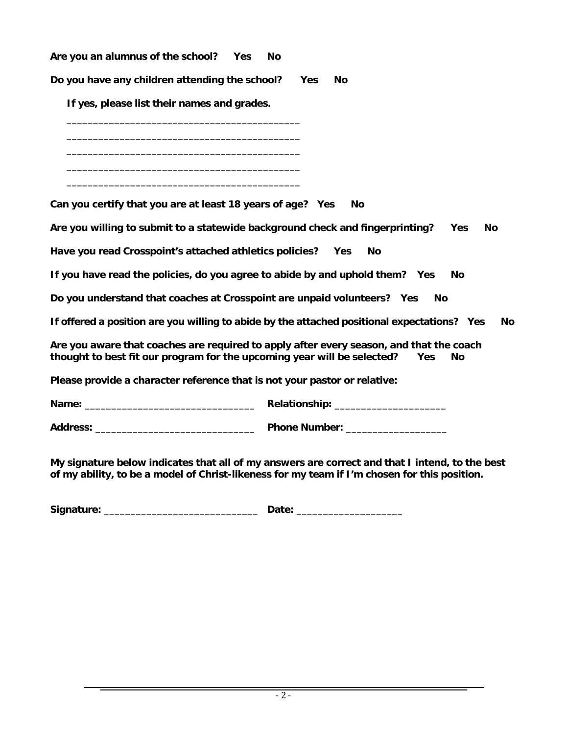**Are you an alumnus of the school? Yes No**

**Do you have any children attending the school? Yes No**

 **If yes, please list their names and grades.** 

 \_\_\_\_\_\_\_\_\_\_\_\_\_\_\_\_\_\_\_\_\_\_\_\_\_\_\_\_\_\_\_\_\_\_\_\_\_\_\_\_\_\_\_\_ \_\_\_\_\_\_\_\_\_\_\_\_\_\_\_\_\_\_\_\_\_\_\_\_\_\_\_\_\_\_\_\_\_\_\_\_\_\_\_\_\_\_\_\_

 \_\_\_\_\_\_\_\_\_\_\_\_\_\_\_\_\_\_\_\_\_\_\_\_\_\_\_\_\_\_\_\_\_\_\_\_\_\_\_\_\_\_\_\_ \_\_\_\_\_\_\_\_\_\_\_\_\_\_\_\_\_\_\_\_\_\_\_\_\_\_\_\_\_\_\_\_\_\_\_\_\_\_\_\_\_\_\_\_ \_\_\_\_\_\_\_\_\_\_\_\_\_\_\_\_\_\_\_\_\_\_\_\_\_\_\_\_\_\_\_\_\_\_\_\_\_\_\_\_\_\_\_\_

**Can you certify that you are at least 18 years of age? Yes No** 

**Are you willing to submit to a statewide background check and fingerprinting? Yes No** 

**Have you read Crosspoint's attached athletics policies? Yes No** 

**If you have read the policies, do you agree to abide by and uphold them? Yes No** 

**Do you understand that coaches at Crosspoint are unpaid volunteers? Yes No** 

**If offered a position are you willing to abide by the attached positional expectations? Yes No** 

**Are you aware that coaches are required to apply after every season, and that the coach thought to best fit our program for the upcoming year will be selected? Yes No** 

**Please provide a character reference that is not your pastor or relative:** 

**Name:** \_\_\_\_\_\_\_\_\_\_\_\_\_\_\_\_\_\_\_\_\_\_\_\_\_\_\_\_\_\_\_\_ **Relationship:** \_\_\_\_\_\_\_\_\_\_\_\_\_\_\_\_\_\_\_\_\_

**Address:** \_\_\_\_\_\_\_\_\_\_\_\_\_\_\_\_\_\_\_\_\_\_\_\_\_\_\_\_\_\_ **Phone Number:** \_\_\_\_\_\_\_\_\_\_\_\_\_\_\_\_\_\_\_

**My signature below indicates that all of my answers are correct and that I intend, to the best of my ability, to be a model of Christ-likeness for my team if I'm chosen for this position.** 

| Signature: |   |
|------------|---|
|            | . |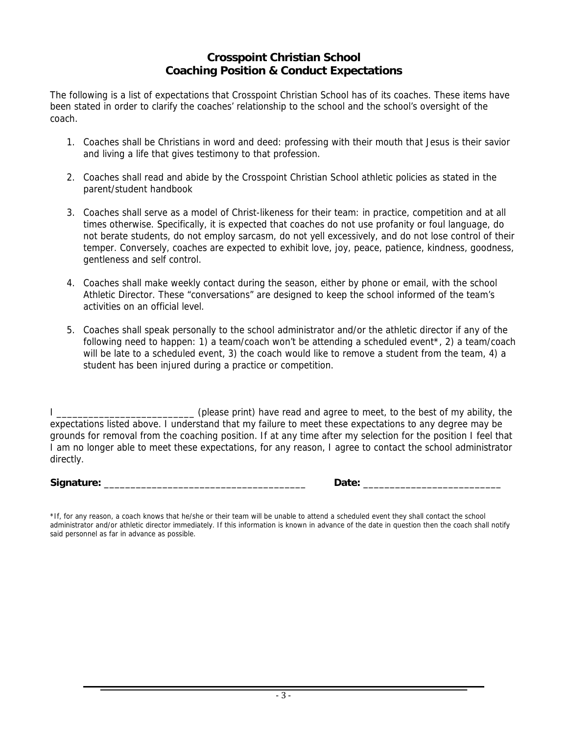## **Crosspoint Christian School Coaching Position & Conduct Expectations**

The following is a list of expectations that Crosspoint Christian School has of its coaches. These items have been stated in order to clarify the coaches' relationship to the school and the school's oversight of the coach.

- 1. Coaches shall be Christians in word and deed: professing with their mouth that Jesus is their savior and living a life that gives testimony to that profession.
- 2. Coaches shall read and abide by the Crosspoint Christian School athletic policies as stated in the parent/student handbook
- 3. Coaches shall serve as a model of Christ-likeness for their team: in practice, competition and at all times otherwise. Specifically, it is expected that coaches do not use profanity or foul language, do not berate students, do not employ sarcasm, do not yell excessively, and do not lose control of their temper. Conversely, coaches are expected to exhibit love, joy, peace, patience, kindness, goodness, gentleness and self control.
- 4. Coaches shall make weekly contact during the season, either by phone or email, with the school Athletic Director. These "conversations" are designed to keep the school informed of the team's activities on an official level.
- 5. Coaches shall speak personally to the school administrator and/or the athletic director if any of the following need to happen: 1) a team/coach won't be attending a scheduled event\*, 2) a team/coach will be late to a scheduled event, 3) the coach would like to remove a student from the team, 4) a student has been injured during a practice or competition.

I \_\_\_\_\_\_\_\_\_\_\_\_\_\_\_\_\_\_\_\_\_\_\_\_\_\_ (please print) have read and agree to meet, to the best of my ability, the expectations listed above. I understand that my failure to meet these expectations to any degree may be grounds for removal from the coaching position. If at any time after my selection for the position I feel that I am no longer able to meet these expectations, for any reason, I agree to contact the school administrator directly.

**Signature:** \_\_\_\_\_\_\_\_\_\_\_\_\_\_\_\_\_\_\_\_\_\_\_\_\_\_\_\_\_\_\_\_\_\_\_\_\_\_ **Date:** \_\_\_\_\_\_\_\_\_\_\_\_\_\_\_\_\_\_\_\_\_\_\_\_\_\_

\*If, for any reason, a coach knows that he/she or their team will be unable to attend a scheduled event they shall contact the school administrator and/or athletic director immediately. If this information is known in advance of the date in question then the coach shall notify said personnel as far in advance as possible.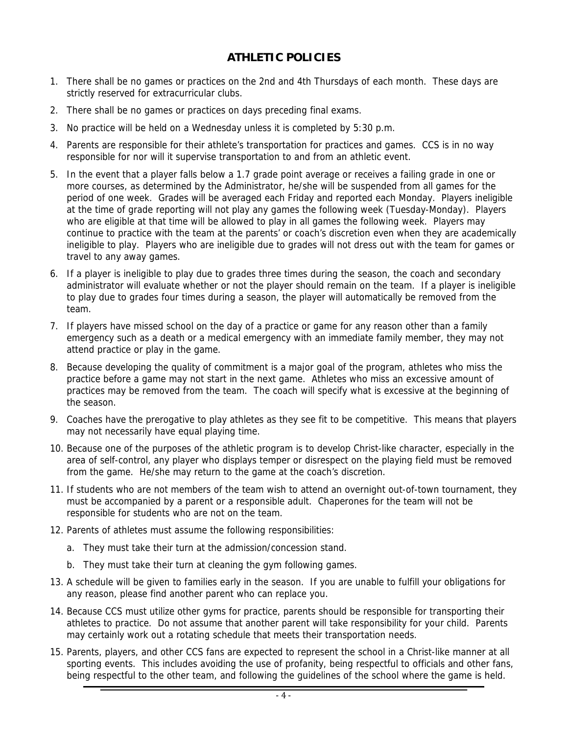## **ATHLETIC POLICIES**

- 1. There shall be no games or practices on the 2nd and 4th Thursdays of each month. These days are strictly reserved for extracurricular clubs.
- 2. There shall be no games or practices on days preceding final exams.
- 3. No practice will be held on a Wednesday unless it is completed by 5:30 p.m.
- 4. Parents are responsible for their athlete's transportation for practices and games. CCS is in no way responsible for nor will it supervise transportation to and from an athletic event.
- 5. In the event that a player falls below a 1.7 grade point average or receives a failing grade in one or more courses, as determined by the Administrator, he/she will be suspended from all games for the period of one week. Grades will be averaged each Friday and reported each Monday. Players ineligible at the time of grade reporting will not play any games the following week (Tuesday-Monday). Players who are eligible at that time will be allowed to play in all games the following week. Players may continue to practice with the team at the parents' or coach's discretion even when they are academically ineligible to play. Players who are ineligible due to grades will not dress out with the team for games or travel to any away games.
- 6. If a player is ineligible to play due to grades three times during the season, the coach and secondary administrator will evaluate whether or not the player should remain on the team. If a player is ineligible to play due to grades four times during a season, the player will automatically be removed from the team.
- 7. If players have missed school on the day of a practice or game for any reason other than a family emergency such as a death or a medical emergency with an immediate family member, they may not attend practice or play in the game.
- 8. Because developing the quality of commitment is a major goal of the program, athletes who miss the practice before a game may not start in the next game. Athletes who miss an excessive amount of practices may be removed from the team. The coach will specify what is excessive at the beginning of the season.
- 9. Coaches have the prerogative to play athletes as they see fit to be competitive. This means that players may not necessarily have equal playing time.
- 10. Because one of the purposes of the athletic program is to develop Christ-like character, especially in the area of self-control, any player who displays temper or disrespect on the playing field must be removed from the game. He/she may return to the game at the coach's discretion.
- 11. If students who are not members of the team wish to attend an overnight out-of-town tournament, they must be accompanied by a parent or a responsible adult. Chaperones for the team will not be responsible for students who are not on the team.
- 12. Parents of athletes must assume the following responsibilities:
	- a. They must take their turn at the admission/concession stand.
	- b. They must take their turn at cleaning the gym following games.
- 13. A schedule will be given to families early in the season. If you are unable to fulfill your obligations for any reason, please find another parent who can replace you.
- 14. Because CCS must utilize other gyms for practice, parents should be responsible for transporting their athletes to practice. Do not assume that another parent will take responsibility for your child. Parents may certainly work out a rotating schedule that meets their transportation needs.
- 15. Parents, players, and other CCS fans are expected to represent the school in a Christ-like manner at all sporting events. This includes avoiding the use of profanity, being respectful to officials and other fans, being respectful to the other team, and following the guidelines of the school where the game is held.